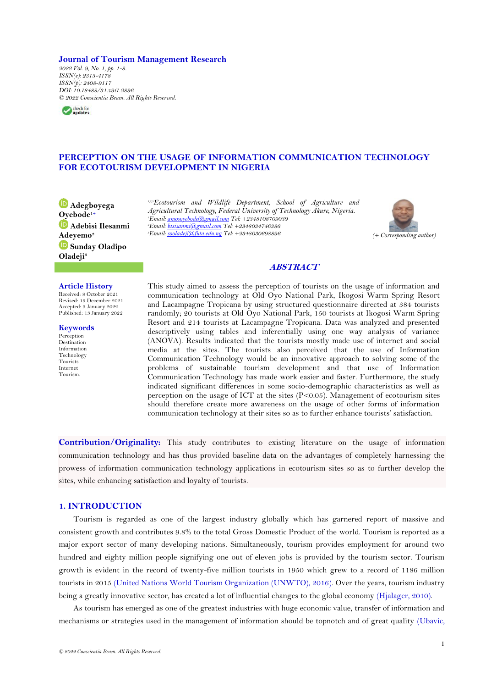#### **Journal of Tourism Management Research**

*2022 Vol. 9, No. 1, pp. 1-8. ISSN(e): 2313-4178 ISSN(p): 2408-9117 DOI: 10.18488/31.v9i1.2896 © 2022 Conscientia Beam. All Rights Reserved.*



# **PERCEPTION ON THE USAGE OF INFORMATION COMMUNICATION TECHNOLOGY FOR ECOTOURISM DEVELOPMENT IN NIGERIA**

**Adegboyega [Oye](https://orcid.org/0000-0002-0337-5604)bode1+ Adebisi Ilesanmi Adeyemo<sup>2</sup> Sunday Oladipo Oladeji<sup>3</sup>**

*1,2,3Ecotourism and Wildlife Department, School of Agriculture and Agricultural Technology, Federal University of Technology Akure, Nigeria. <sup>1</sup>Email[: amosoyebode@gmail.com](mailto:amosoyebode@gmail.com) Tel: +2348108709039 <sup>2</sup>Email[: bisisanmi@gmail.com](mailto:bisisanmi@gmail.com) Tel: +2348034746386 <sup>3</sup>Email[: sooladeji@futa.edu.ng](mailto:sooladeji@futa.edu.ng) Tel: +2348030698896 (+ Corresponding author)*



## **ABSTRACT**

This study aimed to assess the perception of tourists on the usage of information and

#### **Article History**

Received: 8 October 2021 Revised: 15 December 2021 Accepted: 3 January 2022 Published: 13 January 2022

**Keywords** Perception Destination Information Technology

Tourists Internet Tourism. communication technology at Old Oyo National Park, Ikogosi Warm Spring Resort and Lacampagne Tropicana by using structured questionnaire directed at 384 tourists randomly; 20 tourists at Old Oyo National Park, 150 tourists at Ikogosi Warm Spring Resort and 214 tourists at Lacampagne Tropicana. Data was analyzed and presented descriptively using tables and inferentially using one way analysis of variance (ANOVA). Results indicated that the tourists mostly made use of internet and social media at the sites. The tourists also perceived that the use of Information Communication Technology would be an innovative approach to solving some of the problems of sustainable tourism development and that use of Information Communication Technology has made work easier and faster. Furthermore, the study indicated significant differences in some socio-demographic characteristics as well as perception on the usage of ICT at the sites (P<0.05). Management of ecotourism sites should therefore create more awareness on the usage of other forms of information communication technology at their sites so as to further enhance tourists' satisfaction.

**Contribution/Originality:** This study contributes to existing literature on the usage of information communication technology and has thus provided baseline data on the advantages of completely harnessing the prowess of information communication technology applications in ecotourism sites so as to further develop the sites, while enhancing satisfaction and loyalty of tourists.

## **1. INTRODUCTION**

Tourism is regarded as one of the largest industry globally which has garnered report of massive and consistent growth and contributes 9.8% to the total Gross Domestic Product of the world. Tourism is reported as a major export sector of many developing nations. Simultaneously, tourism provides employment for around two hundred and eighty million people signifying one out of eleven jobs is provided by the tourism sector. Tourism growth is evident in the record of twenty-five million tourists in 1950 which grew to a record of 1186 million tourists in 2015 [\(United Nations World Tourism Organization \(UNWTO\), 2016\)](#page-7-0). Over the years, tourism industry being a greatly innovative sector, has created a lot of influential changes to the global economy [\(Hjalager, 2010\)](#page-7-1).

As tourism has emerged as one of the greatest industries with huge economic value, transfer of information and mechanisms or strategies used in the management of information should be topnotch and of great quality [\(Ubavic,](#page-7-2)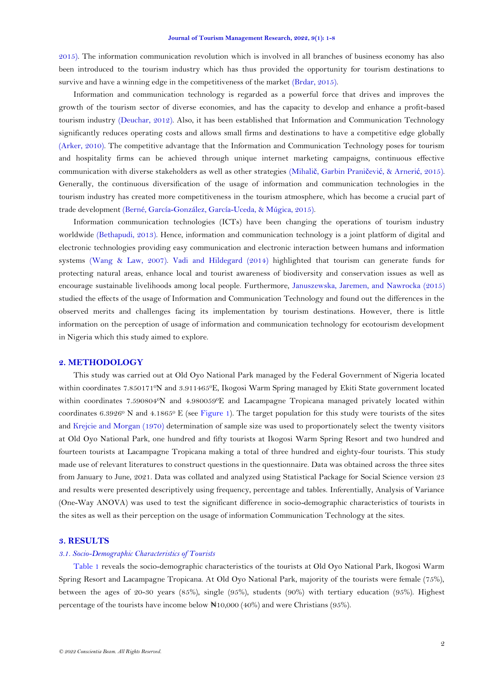[2015\)](#page-7-2). The information communication revolution which is involved in all branches of business economy has also been introduced to the tourism industry which has thus provided the opportunity for tourism destinations to survive and have a winning edge in the competitiveness of the market [\(Brdar, 2015\)](#page-7-3).

Information and communication technology is regarded as a powerful force that drives and improves the growth of the tourism sector of diverse economies, and has the capacity to develop and enhance a profit-based tourism industry [\(Deuchar, 2012\)](#page-7-4). Also, it has been established that Information and Communication Technology significantly reduces operating costs and allows small firms and destinations to have a competitive edge globally [\(Arker, 2010\)](#page-6-0). The competitive advantage that the Information and Communication Technology poses for tourism and hospitality firms can be achieved through unique internet marketing campaigns, continuous effective communication with diverse stakeholders as well as other strategies (Mihalič[, Garbin Prani](#page-7-5)čević, & Arnerić, 2015). Generally, the continuous diversification of the usage of information and communication technologies in the tourism industry has created more competitiveness in the tourism atmosphere, which has become a crucial part of trade development [\(Berné, García-González, García-Uceda, & Múgica, 2015\)](#page-7-6).

Information communication technologies (ICTs) have been changing the operations of tourism industry worldwide [\(Bethapudi, 2013\)](#page-7-7). Hence, information and communication technology is a joint platform of digital and electronic technologies providing easy communication and electronic interaction between humans and information systems [\(Wang & Law, 2007\)](#page-7-8). [Vadi and Hildegard \(2014\)](#page-7-9) highlighted that tourism can generate funds for protecting natural areas, enhance local and tourist awareness of biodiversity and conservation issues as well as encourage sustainable livelihoods among local people. Furthermore, [Januszewska, Jaremen, and Nawrocka \(2015\)](#page-7-10) studied the effects of the usage of Information and Communication Technology and found out the differences in the observed merits and challenges facing its implementation by tourism destinations. However, there is little information on the perception of usage of information and communication technology for ecotourism development in Nigeria which this study aimed to explore.

### **2. METHODOLOGY**

This study was carried out at Old Oyo National Park managed by the Federal Government of Nigeria located within coordinates 7.850171<sup>o</sup>N and 3.911465<sup>o</sup>E, Ikogosi Warm Spring managed by Ekiti State government located within coordinates 7.590804°N and 4.980059°E and Lacampagne Tropicana managed privately located within coordinates 6.3926<sup>0</sup> N and 4.1865<sup>0</sup> E (see [Figure 1\)](#page-2-0). The target population for this study were tourists of the sites and Krejcie [and Morgan \(1970\)](#page-7-11) determination of sample size was used to proportionately select the twenty visitors at Old Oyo National Park, one hundred and fifty tourists at Ikogosi Warm Spring Resort and two hundred and fourteen tourists at Lacampagne Tropicana making a total of three hundred and eighty-four tourists. This study made use of relevant literatures to construct questions in the questionnaire. Data was obtained across the three sites from January to June, 2021. Data was collated and analyzed using Statistical Package for Social Science version 23 and results were presented descriptively using frequency, percentage and tables. Inferentially, Analysis of Variance (One-Way ANOVA) was used to test the significant difference in socio-demographic characteristics of tourists in the sites as well as their perception on the usage of information Communication Technology at the sites.

### **3. RESULTS**

### *3.1. Socio-Demographic Characteristics of Tourists*

[Table 1](#page-2-1) reveals the socio-demographic characteristics of the tourists at Old Oyo National Park, Ikogosi Warm Spring Resort and Lacampagne Tropicana. At Old Oyo National Park, majority of the tourists were female (75%), between the ages of 20-30 years (85%), single (95%), students (90%) with tertiary education (95%). Highest percentage of the tourists have income below  $\mathbb{N}10,000$  (40%) and were Christians (95%).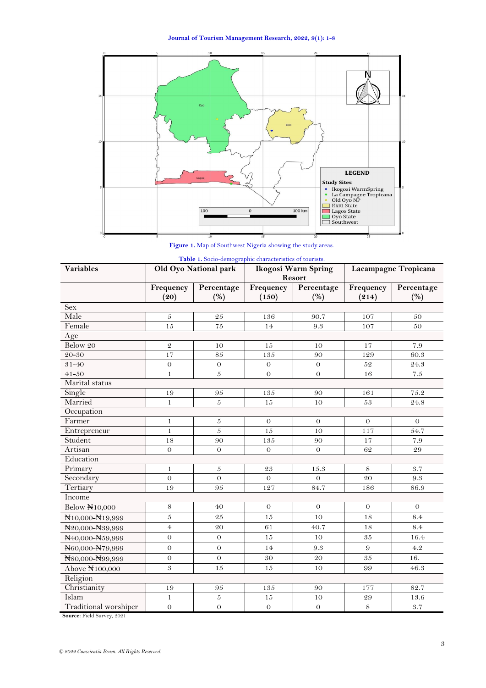**Journal of Tourism Management Research, 2022, 9(1): 1-8**



**Figure 1.** Map of Southwest Nigeria showing the study areas.

<span id="page-2-1"></span><span id="page-2-0"></span>

| <b>Variables</b>                         |                   | <b>Table 1.</b> Socio-demographic characteristics of fourists.<br>Old Oyo National park | Ikogosi Warm Spring<br>Resort |                   | Lacampagne Tropicana |                   |  |
|------------------------------------------|-------------------|-----------------------------------------------------------------------------------------|-------------------------------|-------------------|----------------------|-------------------|--|
|                                          | Frequency<br>(20) | Percentage<br>(%)                                                                       | Frequency<br>(150)            | Percentage<br>(%) | Frequency<br>(214)   | Percentage<br>(%) |  |
| <b>Sex</b>                               |                   |                                                                                         |                               |                   |                      |                   |  |
| Male                                     | $\boldsymbol{5}$  | 25                                                                                      | 136                           | 90.7              | 107                  | 50                |  |
| Female                                   | 15                | $75\,$                                                                                  | 14                            | 9.3               | 107                  | 50                |  |
| Age                                      |                   |                                                                                         |                               |                   |                      |                   |  |
| Below 20                                 | $\mathfrak{D}$    | 10                                                                                      | 15                            | 10                | 17                   | 7.9               |  |
| 20-30                                    | 17                | 85                                                                                      | 135                           | 90                | 129                  | 60.3              |  |
| $31 - 40$                                | $\sigma$          | $\theta$                                                                                | $\theta$                      | $\theta$          | 52                   | 24.3              |  |
| $41 - 50$                                | $\mathbf{1}$      | 5                                                                                       | $\Omega$                      | $\theta$          | 16                   | $7.5\,$           |  |
| Marital status                           |                   |                                                                                         |                               |                   |                      |                   |  |
| Single                                   | 19                | 95                                                                                      | 135                           | 90                | 161                  | 75.2              |  |
| Married                                  | $\mathbf{1}$      | 5                                                                                       | 15                            | 10                | 53                   | 24.8              |  |
| Occupation                               |                   |                                                                                         |                               |                   |                      |                   |  |
| Farmer                                   | $\mathbf{1}$      | $\overline{5}$                                                                          | $\theta$                      | $\theta$          | $\theta$             | $\theta$          |  |
| Entrepreneur                             | $\mathbf{1}$      | 5                                                                                       | 15                            | 10                | 117                  | 54.7              |  |
| Student                                  | 18                | 90                                                                                      | 135                           | 90                | 17                   | 7.9               |  |
| Artisan                                  | $\boldsymbol{0}$  | $\theta$                                                                                | $\theta$                      | $\Omega$          | 62                   | 29                |  |
| Education                                |                   |                                                                                         |                               |                   |                      |                   |  |
| Primary                                  | $\mathbf{1}$      | $\boldsymbol{5}$                                                                        | $\sqrt{23}$                   | 15.3              | 8                    | 3.7               |  |
| Secondary                                | $\boldsymbol{0}$  | $\overline{O}$                                                                          | $\theta$                      | $\overline{O}$    | $20\,$               | 9.3               |  |
| Tertiary                                 | 19                | 95                                                                                      | 127                           | 84.7              | 186                  | 86.9              |  |
| Income                                   |                   |                                                                                         |                               |                   |                      |                   |  |
| Below N10,000                            | 8                 | 40                                                                                      | $\theta$                      | $\Omega$          | $\theta$             | $\theta$          |  |
| N10,000-N19,999                          | $\boldsymbol{5}$  | $\sqrt{25}$                                                                             | $15\,$                        | 10                | 18                   | 8.4               |  |
| N20,000-N39,999                          | $\overline{4}$    | 20                                                                                      | 61                            | 40.7              | 18                   | 8.4               |  |
| N <sub>40,000</sub> -N <sub>59,999</sub> | $\Omega$          | $\theta$                                                                                | 15                            | 10                | 35                   | 16.4              |  |
| N60,000-N79,999                          | $\theta$          | $\theta$                                                                                | 14                            | 9.3               | 9                    | 4.2               |  |
| N80,000-N99,999                          | $\sigma$          | $\theta$                                                                                | 30                            | 20                | $\bf 35$             | 16.               |  |
| Above N100,000                           | 3                 | 15                                                                                      | 15                            | 10                | 99                   | 46.3              |  |
| Religion                                 |                   |                                                                                         |                               |                   |                      |                   |  |
| Christianity                             | 19                | 95                                                                                      | 135                           | 90                | 177                  | 82.7              |  |
| Islam                                    | $\mathbf{1}$      | $\overline{5}$                                                                          | 15                            | 10                | 29                   | 13.6              |  |
| Traditional worshiper                    | $\overline{O}$    | $\boldsymbol{0}$                                                                        | $\Omega$                      | $\boldsymbol{0}$  | 8                    | 3.7               |  |

**Table 1.** Socio-demographic characteristics of tourist

**Source:** Field Survey, 2021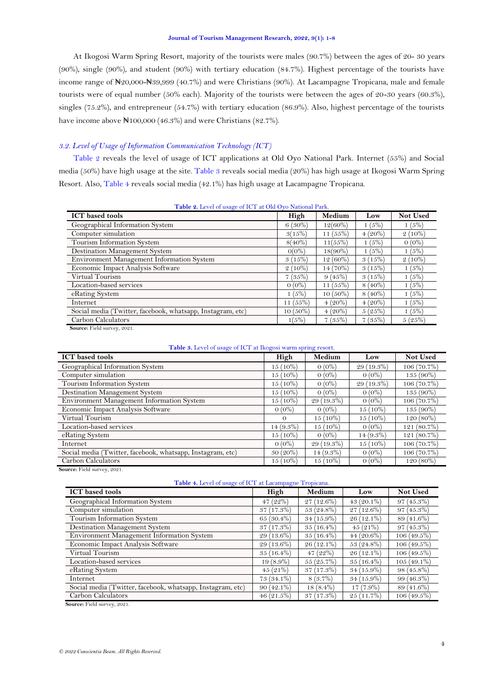At Ikogosi Warm Spring Resort, majority of the tourists were males (90.7%) between the ages of 20- 30 years (90%), single (90%), and student (90%) with tertiary education (84.7%). Highest percentage of the tourists have income range of  $\mathbb{N}20,000-\mathbb{N}39,999$  (40.7%) and were Christians (90%). At Lacampagne Tropicana, male and female tourists were of equal number (50% each). Majority of the tourists were between the ages of 20-30 years (60.3%), singles (75.2%), and entrepreneur (54.7%) with tertiary education (86.9%). Also, highest percentage of the tourists have income above  $\mathbb{N}100,000$  (46.3%) and were Christians (82.7%).

### *3.2. Level of Usage of Information Communication Technology (ICT)*

[Table 2](#page-3-0) reveals the level of usage of ICT applications at Old Oyo National Park. Internet (55%) and Social media (50%) have high usage at the site. [Table 3](#page-3-1) reveals social media (20%) has high usage at Ikogosi Warm Spring Resort. Also, [Table 4](#page-3-2) reveals social media (42.1%) has high usage at Lacampagne Tropicana.

<span id="page-3-0"></span>

| Table 2. Level of usage of ICT at Old Oyo National Park.   |                  |            |           |           |  |  |  |  |
|------------------------------------------------------------|------------------|------------|-----------|-----------|--|--|--|--|
| <b>ICT</b> based tools                                     | High             | Medium     | Low       | Not Used  |  |  |  |  |
| Geographical Information System                            | $6(30\%)$        | $12(60\%)$ | 1(5%)     | 1(5%)     |  |  |  |  |
| Computer simulation                                        | 3(15%)           | $11(55\%)$ | $4(20\%)$ | $2(10\%)$ |  |  |  |  |
| Tourism Information System                                 | $8(40\%)$        | 11(55%)    | 1 (5%)    | $0(0\%)$  |  |  |  |  |
| Destination Management System                              | $O(O_0^{\circ})$ | $18(90\%)$ | 1(5%)     | 1(5%)     |  |  |  |  |
| Environment Management Information System                  | 3(15%)           | $12(60\%)$ | 3(15%)    | $2(10\%)$ |  |  |  |  |
| Economic Impact Analysis Software                          | $2(10\%)$        | $14(70\%)$ | 3(15%)    | 1(5%)     |  |  |  |  |
| Virtual Tourism                                            | 7(35%)           | 9(45%)     | 3(15%)    | 1(5%)     |  |  |  |  |
| Location-based services                                    | $0(0\%)$         | $11(55\%)$ | $8(40\%)$ | 1(5%)     |  |  |  |  |
| eRating System                                             | 1(5%)            | $10(50\%)$ | $8(40\%)$ | 1(5%)     |  |  |  |  |
| Internet                                                   | 11(55%)          | $4(20\%)$  | $4(20\%)$ | 1(5%)     |  |  |  |  |
| Social media (Twitter, facebook, whatsapp, Instagram, etc) | $10(50\%)$       | $4(20\%)$  | 5(25%)    | 1(5%)     |  |  |  |  |
| Carbon Calculators                                         | 1(5%)            | 7(35%)     | 7(35%)    | 5(25%)    |  |  |  |  |

| Source: Field survey, 2021. |  |  |
|-----------------------------|--|--|
|-----------------------------|--|--|

| Table 3. Level of usage of ICT at Ikogosi warm spring resort. |  |
|---------------------------------------------------------------|--|
|---------------------------------------------------------------|--|

<span id="page-3-1"></span>

| <b>ICT</b> based tools                                     | High        | Medium       | Low          | <b>Not Used</b> |
|------------------------------------------------------------|-------------|--------------|--------------|-----------------|
| Geographical Information System                            | $15(10\%)$  | $0(0\%)$     | $29(19.3\%)$ | 106 (70.7%)     |
| Computer simulation                                        | 15 (10%)    | $0(0\%)$     | $0(0\%)$     | 135 (90%)       |
| Tourism Information System                                 | 15 (10%)    | $0(0\%)$     | 29 (19.3%)   | 106 (70.7%)     |
| Destination Management System                              | 15 (10%)    | $0(0\%)$     | $0(0\%)$     | $135(90\%)$     |
| Environment Management Information System                  | $15(10\%)$  | $29(19.3\%)$ | $0(0\%)$     | $106(70.7\%)$   |
| Economic Impact Analysis Software                          | $0(0\%)$    | $0(0\%)$     | $15(10\%)$   | $135(90\%)$     |
| Virtual Tourism                                            | $\Omega$    | $15(10\%)$   | $15(10\%)$   | $120(80\%)$     |
| Location-based services                                    | $14(9.3\%)$ | $15(10\%)$   | $0(0\%)$     | 121 (80.7%)     |
| eRating System                                             | $15(10\%)$  | $0(0\%)$     | $14(9.3\%)$  | 121 (80.7%)     |
| Internet                                                   | $0(0\%)$    | $29(19.3\%)$ | $15(10\%)$   | $106(70.7\%)$   |
| Social media (Twitter, facebook, whatsapp, Instagram, etc) | $30(20\%)$  | $14(9.3\%)$  | $0(0\%)$     | $106(70.7\%)$   |
| Carbon Calculators                                         | 15 (10%)    | $15(10\%)$   | $0(0\%)$     | $120(80\%)$     |

**Source:** Field survey, 2021.

| Table 4. Level of usage of ICT at Lacampagne Tropicana. |  |  |
|---------------------------------------------------------|--|--|
|                                                         |  |  |

<span id="page-3-2"></span>

| <b>ICT</b> based tools                                     | High         | Medium       | Low          | Not Used      |
|------------------------------------------------------------|--------------|--------------|--------------|---------------|
| Geographical Information System                            | $47(22\%)$   | $27(12.6\%)$ | $43(20.1\%)$ | $97(45.3\%)$  |
| Computer simulation                                        | $37(17.3\%)$ | $53(24.8\%)$ | $27(12.6\%)$ | $97(45.3\%)$  |
| Tourism Information System                                 | 65 (30.4%)   | $34(15.9\%)$ | $26(12.1\%)$ | 89 (41.6%)    |
| Destination Management System                              | $37(17.3\%)$ | $35(16.4\%)$ | 45(21%)      | $97(45.3\%)$  |
| Environment Management Information System                  | 29 (13.6%)   | $35(16.4\%)$ | $44(20.6\%)$ | $106(49.5\%)$ |
| Economic Impact Analysis Software                          | 29 (13.6%)   | 26 (12.1%)   | $53(24.8\%)$ | $106(49.5\%)$ |
| Virtual Tourism                                            | $35(16.4\%)$ | 47(22%)      | $26(12.1\%)$ | $106(49.5\%)$ |
| Location-based services                                    | $19(8.9\%)$  | 55(25.7%)    | $35(16.4\%)$ | $105(49.1\%)$ |
| eRating System                                             | $45(21\%)$   | $37(17.3\%)$ | $34(15.9\%)$ | $98(45.8\%)$  |
| Internet                                                   | $73(34.1\%)$ | $8(3.7\%)$   | $34(15.9\%)$ | $99(46.3\%)$  |
| Social media (Twitter, facebook, whatsapp, Instagram, etc) | $90(42.1\%)$ | $18(8.4\%)$  | $17(7.9\%)$  | 89 (41.6%)    |
| Carbon Calculators                                         | $46(21.5\%)$ | 37(17.3%)    | $25(11.7\%)$ | $106(49.5\%)$ |

 **Source:** Field survey, 2021.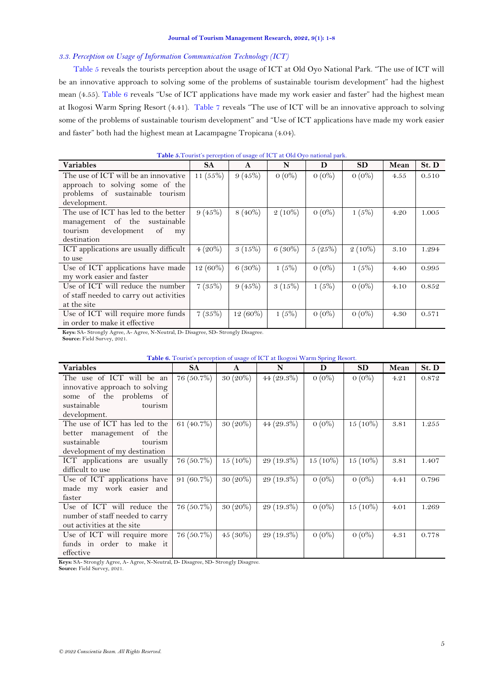#### **Journal of Tourism Management Research, 2022, 9(1): 1-8**

### *3.3. Perception on Usage of Information Communication Technology (ICT)*

[Table 5](#page-4-0) reveals the tourists perception about the usage of ICT at Old Oyo National Park. "The use of ICT will be an innovative approach to solving some of the problems of sustainable tourism development" had the highest mean (4.55). [Table 6](#page-4-1) reveals "Use of ICT applications have made my work easier and faster" had the highest mean at Ikogosi Warm Spring Resort (4.41). [Table 7](#page-5-0) reveals "The use of ICT will be an innovative approach to solving some of the problems of sustainable tourism development" and "Use of ICT applications have made my work easier and faster" both had the highest mean at Lacampagne Tropicana (4.04).

<span id="page-4-0"></span>

| <b>Variables</b>                                                                                                                                                                                                                                                                                                            | SA          | $\mathbf{A}$ | N         | D        | <b>SD</b> | Mean | St. D |
|-----------------------------------------------------------------------------------------------------------------------------------------------------------------------------------------------------------------------------------------------------------------------------------------------------------------------------|-------------|--------------|-----------|----------|-----------|------|-------|
| The use of ICT will be an innovative                                                                                                                                                                                                                                                                                        | 11 $(55\%)$ | 9(45%)       | $0(0\%)$  | $0(0\%)$ | $0(0\%)$  | 4.55 | 0.510 |
| approach to solving some of the                                                                                                                                                                                                                                                                                             |             |              |           |          |           |      |       |
| problems of sustainable tourism                                                                                                                                                                                                                                                                                             |             |              |           |          |           |      |       |
| development.                                                                                                                                                                                                                                                                                                                |             |              |           |          |           |      |       |
| The use of ICT has led to the better                                                                                                                                                                                                                                                                                        | 9(45%)      | $8(40\%)$    | $2(10\%)$ | $0(0\%)$ | 1(5%)     | 4.20 | 1.005 |
| management of the sustainable                                                                                                                                                                                                                                                                                               |             |              |           |          |           |      |       |
| development<br>tourism<br><sub>of</sub><br>my                                                                                                                                                                                                                                                                               |             |              |           |          |           |      |       |
| destination                                                                                                                                                                                                                                                                                                                 |             |              |           |          |           |      |       |
| ICT applications are usually difficult                                                                                                                                                                                                                                                                                      | $4(20\%)$   | 3(15%)       | $6(30\%)$ | 5(25%)   | $2(10\%)$ | 3.10 | 1.294 |
| to use                                                                                                                                                                                                                                                                                                                      |             |              |           |          |           |      |       |
| Use of ICT applications have made                                                                                                                                                                                                                                                                                           | $12(60\%)$  | $6(30\%)$    | 1(5%)     | $0(0\%)$ | 1(5%)     | 4.40 | 0.995 |
| my work easier and faster                                                                                                                                                                                                                                                                                                   |             |              |           |          |           |      |       |
| Use of ICT will reduce the number                                                                                                                                                                                                                                                                                           | 7(35%)      | 9(45%)       | 3(15%)    | 1(5%)    | $0(0\%)$  | 4.10 | 0.852 |
| of staff needed to carry out activities                                                                                                                                                                                                                                                                                     |             |              |           |          |           |      |       |
| at the site                                                                                                                                                                                                                                                                                                                 |             |              |           |          |           |      |       |
| Use of ICT will require more funds                                                                                                                                                                                                                                                                                          | 7(35%)      | $12(60\%)$   | 1(5%)     | $0(0\%)$ | $0(0\%)$  | 4.30 | 0.571 |
| in order to make it effective                                                                                                                                                                                                                                                                                               |             |              |           |          |           |      |       |
| $V$ and $\mathcal{O}_A$ and $\mathcal{O}_B$ and $\mathcal{O}_B$ and $\mathcal{O}_A$ and $\mathcal{O}_A$ and $\mathcal{O}_B$ and $\mathcal{O}_B$ and $\mathcal{O}_B$ and $\mathcal{O}_B$ and $\mathcal{O}_B$ and $\mathcal{O}_B$ and $\mathcal{O}_B$ and $\mathcal{O}_B$ and $\mathcal{O}_B$ and $\mathcal{O}_B$ and $\math$ |             |              |           |          |           |      |       |

### **Table 5.**Tourist's perception of usage of ICT at Old Oyo national park.

**Keys:** SA- Strongly Agree, A- Agree, N-Neutral, D- Disagree, SD- Strongly Disagree.

**Source:** Field Survey, 2021.

### **Table 6.** Tourist's perception of usage of ICT at Ikogosi Warm Spring Resort.

<span id="page-4-1"></span>

| <b>Variables</b>                | SA         | A          | N             | D          | <b>SD</b>  | Mean | St. D |
|---------------------------------|------------|------------|---------------|------------|------------|------|-------|
| The use of ICT will be an       | 76 (50.7%) | $30(20\%)$ | 44 $(29.3\%)$ | $0(0\%)$   | $0(0\%)$   | 4.21 | 0.872 |
| innovative approach to solving  |            |            |               |            |            |      |       |
| some of the problems of         |            |            |               |            |            |      |       |
| sustainable<br>tourism          |            |            |               |            |            |      |       |
| development.                    |            |            |               |            |            |      |       |
| The use of ICT has led to the   | 61 (40.7%) | 30 (20%)   | $44(29.3\%)$  | $0(0\%)$   | $15(10\%)$ | 3.81 | 1.255 |
| better management<br>of the     |            |            |               |            |            |      |       |
| sustainable<br>tourism          |            |            |               |            |            |      |       |
| development of my destination   |            |            |               |            |            |      |       |
| ICT applications are usually    | 76 (50.7%) | $15(10\%)$ | 29 (19.3%)    | $15(10\%)$ | $15(10\%)$ | 3.81 | 1.407 |
| difficult to use                |            |            |               |            |            |      |       |
| Use of ICT applications have    | 91 (60.7%) | $30(20\%)$ | 29 (19.3%)    | $0(0\%)$   | $0(0\%)$   | 4.41 | 0.796 |
| made my work easier and         |            |            |               |            |            |      |       |
| faster                          |            |            |               |            |            |      |       |
| Use of ICT will reduce the      | 76 (50.7%) | $30(20\%)$ | 29 (19.3%)    | $0(0\%)$   | $15(10\%)$ | 4.01 | 1.269 |
| number of staff needed to carry |            |            |               |            |            |      |       |
| out activities at the site      |            |            |               |            |            |      |       |
| Use of ICT will require more    | 76 (50.7%) | $45(30\%)$ | 29 (19.3%)    | $0(0\%)$   | $0(0\%)$   | 4.31 | 0.778 |
| funds in order to make it       |            |            |               |            |            |      |       |
| effective                       |            |            |               |            |            |      |       |

**Keys:** SA- Strongly Agree, A- Agree, N-Neutral, D- Disagree, SD- Strongly Disagree.

**Source:** Field Survey, 2021.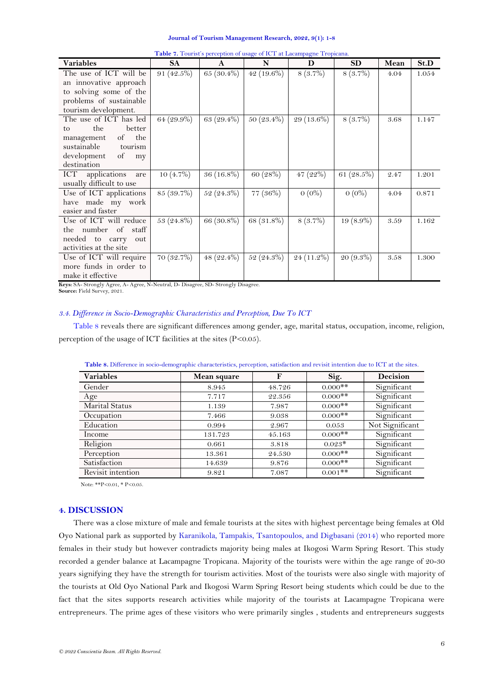<span id="page-5-0"></span>

| <b>Table 1.</b> Fourist's perception of usage of TCT at Lacampagne Tropicana. |             |              |               |            |               |      |       |
|-------------------------------------------------------------------------------|-------------|--------------|---------------|------------|---------------|------|-------|
| <b>Variables</b>                                                              | <b>SA</b>   | $\mathbf{A}$ | N             | D          | <b>SD</b>     | Mean | St.D  |
| The use of ICT will be                                                        | 91 (42.5%)  | 65 (30.4%)   | 42 $(19.6\%)$ | $8(3.7\%)$ | 8(3.7%)       | 4.04 | 1.054 |
| an innovative approach                                                        |             |              |               |            |               |      |       |
| to solving some of the                                                        |             |              |               |            |               |      |       |
| problems of sustainable                                                       |             |              |               |            |               |      |       |
| tourism development.                                                          |             |              |               |            |               |      |       |
| The use of ICT has led                                                        | 64 (29.9%)  | 63 (29.4%)   | 50 (23.4%)    | 29 (13.6%) | $8(3.7\%)$    | 3.68 | 1.147 |
| the<br>better<br>to                                                           |             |              |               |            |               |      |       |
| the<br>of<br>management                                                       |             |              |               |            |               |      |       |
| sustainable<br>tourism                                                        |             |              |               |            |               |      |       |
| development<br>of<br>my                                                       |             |              |               |            |               |      |       |
| destination                                                                   |             |              |               |            |               |      |       |
| ICT applications<br>are                                                       | $10(4.7\%)$ | 36 (16.8%)   | 60 (28%)      | 47 (22%)   | 61 $(28.5\%)$ | 2.47 | 1.201 |
| usually difficult to use                                                      |             |              |               |            |               |      |       |
| Use of ICT applications                                                       | 85 (39.7%)  | $52(24.3\%)$ | 77 (36%)      | $0(0\%)$   | $0(0\%)$      | 4.04 | 0.871 |
| have made my work                                                             |             |              |               |            |               |      |       |
| easier and faster                                                             |             |              |               |            |               |      |       |
| Use of ICT will reduce                                                        | 53 (24.8%)  | 66 (30.8%)   | 68 (31.8%)    | $8(3.7\%)$ | 19 (8.9%)     | 3.59 | 1.162 |
| the number of staff                                                           |             |              |               |            |               |      |       |
| needed to carry<br>out                                                        |             |              |               |            |               |      |       |
| activities at the site                                                        |             |              |               |            |               |      |       |
| Use of ICT will require                                                       | 70 (32.7%)  | 48 (22.4%)   | 52 (24.3%)    | 24 (11.2%) | 20 (9.3%)     | 3.58 | 1.300 |
| more funds in order to                                                        |             |              |               |            |               |      |       |
| make it effective                                                             |             |              |               |            |               |      |       |

**Table 7.** Tourist's perception of usage of ICT at Lacampagne Tropicana.

**Keys:** SA- Strongly Agree, A- Agree, N-Neutral, D- Disagree, SD- Strongly Disagree.

**Source:** Field Survey, 2021.

### *3.4. Difference in Socio-Demographic Characteristics and Perception, Due To ICT*

[Table 8](#page-5-1) reveals there are significant differences among gender, age, marital status, occupation, income, religion, perception of the usage of ICT facilities at the sites  $(P<0.05)$ .

<span id="page-5-1"></span>

| <b>Variables</b>      | Mean square | F      | Sig.                  | <b>Decision</b> |
|-----------------------|-------------|--------|-----------------------|-----------------|
| Gender                | 8.945       | 48.726 | $0.000$ **            | Significant     |
| Age                   | 7.717       | 22.356 | $0.000$ **            | Significant     |
| <b>Marital Status</b> | 1.139       | 7.987  | $0.000$ **            | Significant     |
| Occupation            | 7.466       | 9.038  | $0.000$ **            | Significant     |
| Education             | 0.994       | 2.967  | 0.053                 | Not Significant |
| Income                | 131.723     | 45.163 | $0.000$ **            | Significant     |
| Religion              | 0.661       | 3.818  | $0.023*$              | Significant     |
| Perception            | 13.361      | 24.530 | $0.000$ <sup>**</sup> | Significant     |
| Satisfaction          | 14.639      | 9.876  | $0.000$ **            | Significant     |
| Revisit intention     | 9.821       | 7.087  | $0.001$ **            | Significant     |

**Table 8.** Difference in socio-demographic characteristics, perception, satisfaction and revisit intention due to ICT at the sites.

Note: \*\*P<0.01, \* P<0.05.

## **4. DISCUSSION**

There was a close mixture of male and female tourists at the sites with highest percentage being females at Old Oyo National park as supported by [Karanikola, Tampakis, Tsantopoulos, and Digbasani \(2014\)](#page-7-12) who reported more females in their study but however contradicts majority being males at Ikogosi Warm Spring Resort. This study recorded a gender balance at Lacampagne Tropicana. Majority of the tourists were within the age range of 20-30 years signifying they have the strength for tourism activities. Most of the tourists were also single with majority of the tourists at Old Oyo National Park and Ikogosi Warm Spring Resort being students which could be due to the fact that the sites supports research activities while majority of the tourists at Lacampagne Tropicana were entrepreneurs. The prime ages of these visitors who were primarily singles , students and entrepreneurs suggests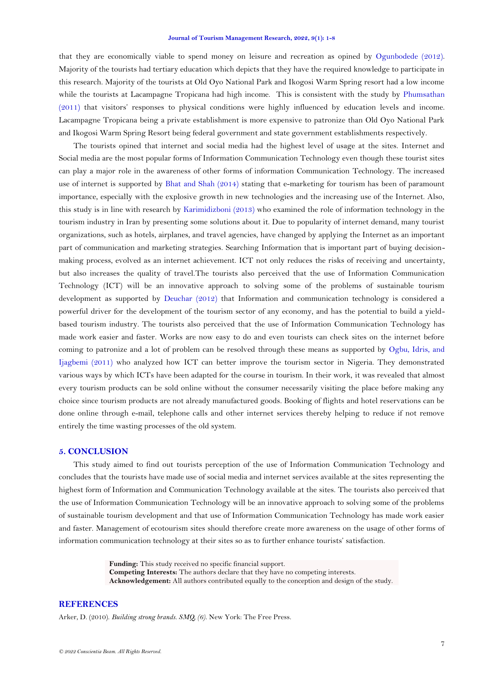#### **Journal of Tourism Management Research, 2022, 9(1): 1-8**

that they are economically viable to spend money on leisure and recreation as opined by [Ogunbodede \(2012\)](#page-7-13). Majority of the tourists had tertiary education which depicts that they have the required knowledge to participate in this research. Majority of the tourists at Old Oyo National Park and Ikogosi Warm Spring resort had a low income while the tourists at Lacampagne Tropicana had high income. This is consistent with the study by Phumsathan [\(2011\)](#page-7-14) that visitors' responses to physical conditions were highly influenced by education levels and income. Lacampagne Tropicana being a private establishment is more expensive to patronize than Old Oyo National Park and Ikogosi Warm Spring Resort being federal government and state government establishments respectively.

The tourists opined that internet and social media had the highest level of usage at the sites. Internet and Social media are the most popular forms of Information Communication Technology even though these tourist sites can play a major role in the awareness of other forms of information Communication Technology. The increased use of internet is supported by [Bhat and Shah \(2014\)](#page-7-15) stating that e-marketing for tourism has been of paramount importance, especially with the explosive growth in new technologies and the increasing use of the Internet. Also, this study is in line with research by [Karimidizboni \(2013\)](#page-7-16) who examined the role of information technology in the tourism industry in Iran by presenting some solutions about it. Due to popularity of internet demand, many tourist organizations, such as hotels, airplanes, and travel agencies, have changed by applying the Internet as an important part of communication and marketing strategies. Searching Information that is important part of buying decisionmaking process, evolved as an internet achievement. ICT not only reduces the risks of receiving and uncertainty, but also increases the quality of travel.The tourists also perceived that the use of Information Communication Technology (ICT) will be an innovative approach to solving some of the problems of sustainable tourism development as supported by [Deuchar \(2012\)](#page-7-4) that Information and communication technology is considered a powerful driver for the development of the tourism sector of any economy, and has the potential to build a yieldbased tourism industry. The tourists also perceived that the use of Information Communication Technology has made work easier and faster. Works are now easy to do and even tourists can check sites on the internet before coming to patronize and a lot of problem can be resolved through these means as supported by [Ogbu, Idris, and](#page-7-17)  [Ijagbemi \(2011\)](#page-7-17) who analyzed how ICT can better improve the tourism sector in Nigeria. They demonstrated various ways by which ICTs have been adapted for the course in tourism. In their work, it was revealed that almost every tourism products can be sold online without the consumer necessarily visiting the place before making any choice since tourism products are not already manufactured goods. Booking of flights and hotel reservations can be done online through e-mail, telephone calls and other internet services thereby helping to reduce if not remove entirely the time wasting processes of the old system.

### **5. CONCLUSION**

This study aimed to find out tourists perception of the use of Information Communication Technology and concludes that the tourists have made use of social media and internet services available at the sites representing the highest form of Information and Communication Technology available at the sites. The tourists also perceived that the use of Information Communication Technology will be an innovative approach to solving some of the problems of sustainable tourism development and that use of Information Communication Technology has made work easier and faster. Management of ecotourism sites should therefore create more awareness on the usage of other forms of information communication technology at their sites so as to further enhance tourists' satisfaction.

> **Funding:** This study received no specific financial support. **Competing Interests:** The authors declare that they have no competing interests. **Acknowledgement:** All authors contributed equally to the conception and design of the study.

### **REFERENCES**

<span id="page-6-0"></span>Arker, D. (2010). *Building strong brands. SMQ, (6)*. New York: The Free Press.